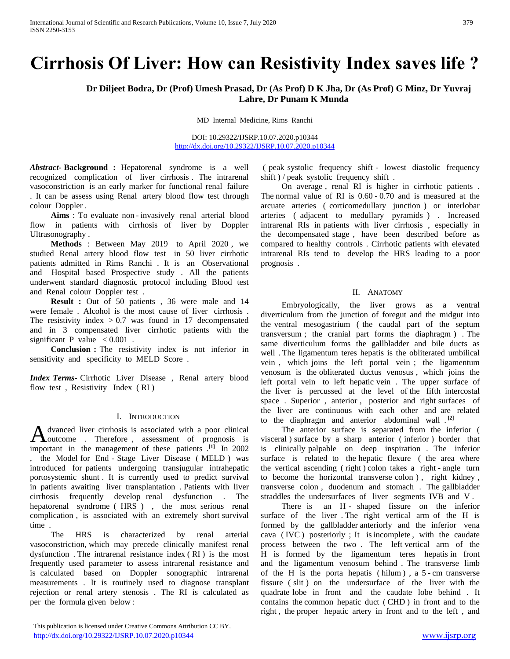# **Cirrhosis Of Liver: How can Resistivity Index saves life ?**

# **Dr Diljeet Bodra, Dr (Prof) Umesh Prasad, Dr (As Prof) D K Jha, Dr (As Prof) G Minz, Dr Yuvraj Lahre, Dr Punam K Munda**

MD Internal Medicine, Rims Ranchi

DOI: 10.29322/IJSRP.10.07.2020.p10344 <http://dx.doi.org/10.29322/IJSRP.10.07.2020.p10344>

*Abstract***- Background :** Hepatorenal syndrome is a well recognized complication of liver cirrhosis . The intrarenal vasoconstriction is an early marker for functional renal failure . It can be assess using Renal artery blood flow test through colour Doppler .

 **Aims** : To evaluate non - invasively renal arterial blood flow in patients with cirrhosis of liver by Doppler Ultrasonography .

 **Methods** : Between May 2019 to April 2020 , we studied Renal artery blood flow test in 50 liver cirrhotic patients admitted in Rims Ranchi . It is an Observational and Hospital based Prospective study . All the patients underwent standard diagnostic protocol including Blood test and Renal colour Doppler test .

 **Result :** Out of 50 patients , 36 were male and 14 were female . Alcohol is the most cause of liver cirrhosis . The resistivity index  $> 0.7$  was found in 17 decompensated and in 3 compensated liver cirrhotic patients with the significant P value  $< 0.001$ .

 **Conclusion :** The resistivity index is not inferior in sensitivity and specificity to MELD Score .

*Index Terms*- Cirrhotic Liver Disease , Renal artery blood flow test , Resistivity Index ( RI )

## I. INTRODUCTION

dvanced liver cirrhosis is associated with a poor clinical A dvanced liver cirrhosis is associated with a poor clinical<br>
Loutcome . Therefore, assessment of prognosis is important in the management of these patients .**[1]** In 2002 the Model for End - Stage Liver Disease (MELD) was introduced for patients undergoing transjugular intrahepatic portosystemic shunt . It is currently used to predict survival in patients awaiting liver transplantation . Patients with liver cirrhosis frequently develop renal dysfunction . The hepatorenal syndrome ( HRS ) , the most serious renal complication , is associated with an extremely short survival time .

 The HRS is characterized by renal arterial vasoconstriction, which may precede clinically manifest renal dysfunction . The intrarenal resistance index ( RI ) is the most frequently used parameter to assess intrarenal resistance and is calculated based on Doppler sonographic intrarenal measurements . It is routinely used to diagnose transplant rejection or renal artery stenosis . The RI is calculated as per the formula given below :

( peak systolic frequency shift - lowest diastolic frequency shift ) / peak systolic frequency shift .

 On average , renal RI is higher in cirrhotic patients . The normal value of RI is 0.60 - 0.70 and is measured at the arcuate arteries ( corticomedullary junction ) or interlobar arteries ( adjacent to medullary pyramids ) . Increased intrarenal RIs in patients with liver cirrhosis , especially in the decompensated stage , have been described before as compared to healthy controls . Cirrhotic patients with elevated intrarenal RIs tend to develop the HRS leading to a poor prognosis .

## II. ANATOMY

 Embryologically, the liver grows as a ventral diverticulum from the junction of foregut and the midgut into the ventral mesogastrium ( the caudal part of the septum transversum ; the cranial part forms the diaphragm ) . The same diverticulum forms the gallbladder and bile ducts as well . The ligamentum teres hepatis is the obliterated umbilical vein , which joins the left portal vein ; the ligamentum venosum is the obliterated ductus venosus , which joins the left portal vein to left hepatic vein . The upper surface of the liver is percussed at the level of the fifth intercostal space . Superior , anterior , posterior and right surfaces of the liver are continuous with each other and are related to the diaphragm and anterior abdominal wall . **[2]**

 The anterior surface is separated from the inferior ( visceral ) surface by a sharp anterior ( inferior ) border that is clinically palpable on deep inspiration . The inferior surface is related to the hepatic flexure ( the area where the vertical ascending ( right ) colon takes a right - angle turn to become the horizontal transverse colon ) , right kidney , transverse colon , duodenum and stomach . The gallbladder straddles the undersurfaces of liver segments IVB and V .

There is an H - shaped fissure on the inferior surface of the liver . The right vertical arm of the H is formed by the gallbladder anteriorly and the inferior vena cava ( IVC ) posteriorly ; It is incomplete , with the caudate process between the two . The left vertical arm of the H is formed by the ligamentum teres hepatis in front and the ligamentum venosum behind . The transverse limb of the H is the porta hepatis ( $h$ ilum), a 5 - cm transverse fissure ( slit ) on the undersurface of the liver with the quadrate lobe in front and the caudate lobe behind . It contains the common hepatic duct ( CHD ) in front and to the right , the proper hepatic artery in front and to the left , and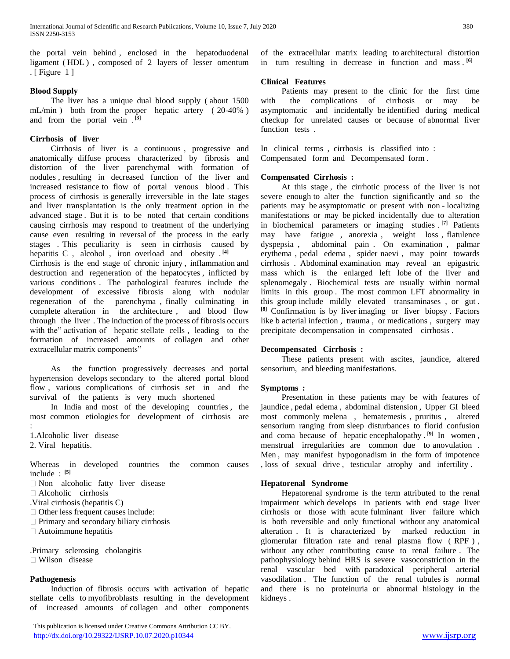the portal vein behind , enclosed in the hepatoduodenal ligament ( HDL ) , composed of 2 layers of lesser omentum . [ Figure 1 ]

## **Blood Supply**

 The liver has a unique dual blood supply ( about 1500 mL/min ) both from the proper hepatic artery ( 20-40% ) and from the portal vein . **[3]**

# **Cirrhosis of liver**

 Cirrhosis of liver is a continuous , progressive and anatomically diffuse process characterized by fibrosis and distortion of the liver parenchymal with formation of nodules , resulting in decreased function of the liver and increased resistance to flow of portal venous blood . This process of cirrhosis is generally irreversible in the late stages and liver transplantation is the only treatment option in the advanced stage . But it is to be noted that certain conditions causing cirrhosis may respond to treatment of the underlying cause even resulting in reversal of the process in the early stages . This peculiarity is seen in cirrhosis caused by hepatitis C , alcohol , iron overload and obesity . **[4]** Cirrhosis is the end stage of chronic injury , inflammation and destruction and regeneration of the hepatocytes , inflicted by various conditions . The pathological features include the development of excessive fibrosis along with nodular regeneration of the parenchyma , finally culminating in complete alteration in the architecture , and blood flow through the liver . The induction of the process of fibrosis occurs with the" activation of hepatic stellate cells, leading to the formation of increased amounts of collagen and other extracellular matrix components"

 As the function progressively decreases and portal hypertension develops secondary to the altered portal blood flow , various complications of cirrhosis set in and the survival of the patients is very much shortened

 In India and most of the developing countries , the most common etiologies for development of cirrhosis are

1.Alcoholic liver disease

2. Viral hepatitis.

:

Whereas in developed countries the common causes include : **[5]**

Non alcoholic fatty liver disease

Alcoholic cirrhosis

.Viral cirrhosis (hepatitis C)

Other less frequent causes include:

 $\Box$  Primary and secondary biliary cirrhosis

Autoimmune hepatitis

.Primary sclerosing cholangitis Wilson disease

## **Pathogenesis**

 Induction of fibrosis occurs with activation of hepatic stellate cells to myofibroblasts resulting in the development of increased amounts of collagen and other components

 This publication is licensed under Creative Commons Attribution CC BY. <http://dx.doi.org/10.29322/IJSRP.10.07.2020.p10344> [www.ijsrp.org](http://ijsrp.org/)

of the extracellular matrix leading to architectural distortion in turn resulting in decrease in function and mass . **[6]**

# **Clinical Features**

 Patients may present to the clinic for the first time with the complications of cirrhosis or may be asymptomatic and incidentally be identified during medical checkup for unrelated causes or because of abnormal liver function tests .

In clinical terms , cirrhosis is classified into : Compensated form and Decompensated form .

# **Compensated Cirrhosis :**

 At this stage , the cirrhotic process of the liver is not severe enough to alter the function significantly and so the patients may be asymptomatic or present with non - localizing manifestations or may be picked incidentally due to alteration in biochemical parameters or imaging studies . **[7]** Patients may have fatigue , anorexia , weight loss , flatulence dyspepsia , abdominal pain . On examination , palmar erythema , pedal edema , spider naevi , may point towards cirrhosis . Abdominal examination may reveal an epigastric mass which is the enlarged left lobe of the liver and splenomegaly . Biochemical tests are usually within normal limits in this group . The most common LFT abnormality in this group include mildly elevated transaminases , or gut . **[8]** Confirmation is by liver imaging or liver biopsy . Factors like b acterial infection , trauma , or medications , surgery may precipitate decompensation in compensated cirrhosis .

## **Decompensated Cirrhosis :**

 These patients present with ascites, jaundice, altered sensorium, and bleeding manifestations.

## **Symptoms :**

 Presentation in these patients may be with features of jaundice , pedal edema , abdominal distension , Upper GI bleed most commonly melena , hematemesis , pruritus , altered sensorium ranging from sleep disturbances to florid confusion and coma because of hepatic encephalopathy . **[9]** In women , menstrual irregularities are common due to anovulation . Men , may manifest hypogonadism in the form of impotence , loss of sexual drive , testicular atrophy and infertility .

## **Hepatorenal Syndrome**

 Hepatorenal syndrome is the term attributed to the renal impairment which develops in patients with end stage liver cirrhosis or those with acute fulminant liver failure which is both reversible and only functional without any anatomical alteration . It is characterized by marked reduction in glomerular filtration rate and renal plasma flow ( RPF ) , without any other contributing cause to renal failure . The pathophysiology behind HRS is severe vasoconstriction in the renal vascular bed with paradoxical peripheral arterial vasodilation . The function of the renal tubules is normal and there is no proteinuria or abnormal histology in the kidneys .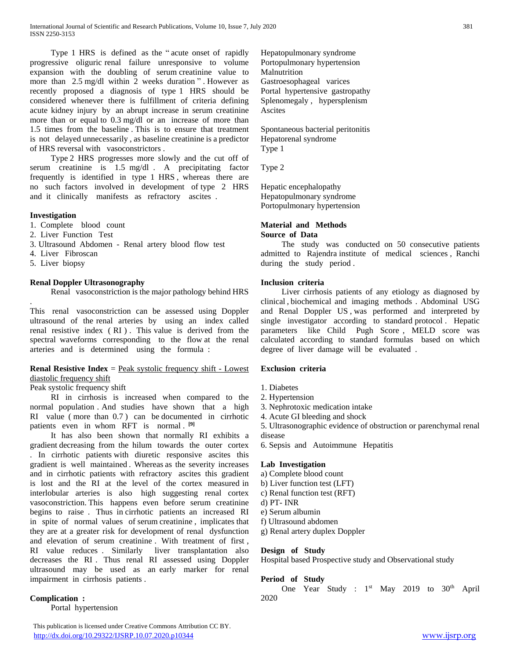Type 1 HRS is defined as the " acute onset of rapidly progressive oliguric renal failure unresponsive to volume expansion with the doubling of serum creatinine value to more than 2.5 mg/dl within 2 weeks duration " . However as recently proposed a diagnosis of type 1 HRS should be considered whenever there is fulfillment of criteria defining acute kidney injury by an abrupt increase in serum creatinine more than or equal to 0.3 mg/dl or an increase of more than 1.5 times from the baseline . This is to ensure that treatment is not delayed unnecessarily , as baseline creatinine is a predictor of HRS reversal with vasoconstrictors .

 Type 2 HRS progresses more slowly and the cut off of serum creatinine is 1.5 mg/dl . A precipitating factor frequently is identified in type 1 HRS , whereas there are no such factors involved in development of type 2 HRS and it clinically manifests as refractory ascites .

## **Investigation**

- 1. Complete blood count
- 2. Liver Function Test
- 3. Ultrasound Abdomen Renal artery blood flow test
- 4. Liver Fibroscan
- 5. Liver biopsy

# **Renal Doppler Ultrasonography**

Renal vasoconstriction is the major pathology behind HRS

. This renal vasoconstriction can be assessed using Doppler ultrasound of the renal arteries by using an index called renal resistive index ( RI ) . This value is derived from the spectral waveforms corresponding to the flow at the renal arteries and is determined using the formula :

# **Renal Resistive Index** = Peak systolic frequency shift - Lowest diastolic frequency shift

## Peak systolic frequency shift

 RI in cirrhosis is increased when compared to the normal population . And studies have shown that a high RI value ( more than 0.7 ) can be documented in cirrhotic patients even in whom RFT is normal . **[9]**

 It has also been shown that normally RI exhibits a gradient decreasing from the hilum towards the outer cortex . In cirrhotic patients with diuretic responsive ascites this gradient is well maintained . Whereas as the severity increases and in cirrhotic patients with refractory ascites this gradient is lost and the RI at the level of the cortex measured in interlobular arteries is also high suggesting renal cortex vasoconstriction. This happens even before serum creatinine begins to raise . Thus in cirrhotic patients an increased RI in spite of normal values of serum creatinine , implicates that they are at a greater risk for development of renal dysfunction and elevation of serum creatinine . With treatment of first , RI value reduces . Similarly liver transplantation also decreases the RI . Thus renal RI assessed using Doppler ultrasound may be used as an early marker for renal impairment in cirrhosis patients .

## **Complication :**

Portal hypertension

Hepatopulmonary syndrome Portopulmonary hypertension Malnutrition Gastroesophageal varices Portal hypertensive gastropathy Splenomegaly , hypersplenism Ascites

Spontaneous bacterial peritonitis Hepatorenal syndrome Type 1

Type 2

Hepatic encephalopathy Hepatopulmonary syndrome Portopulmonary hypertension

#### **Material and Methods Source of Data**

 The study was conducted on 50 consecutive patients admitted to Rajendra institute of medical sciences , Ranchi during the study period .

# **Inclusion criteria**

 Liver cirrhosis patients of any etiology as diagnosed by clinical , biochemical and imaging methods . Abdominal USG and Renal Doppler US , was performed and interpreted by single investigator according to standard protocol . Hepatic parameters like Child Pugh Score , MELD score was calculated according to standard formulas based on which degree of liver damage will be evaluated .

## **Exclusion criteria**

- 1. Diabetes
- 2. Hypertension
- 3. Nephrotoxic medication intake
- 4. Acute GI bleeding and shock

5. Ultrasonographic evidence of obstruction or parenchymal renal disease

6. Sepsis and Autoimmune Hepatitis

## **Lab Investigation**

- a) Complete blood count
- b) Liver function test (LFT)
- c) Renal function test (RFT)
- d) PT- INR
- e) Serum albumin
- f) Ultrasound abdomen
- g) Renal artery duplex Doppler

# **Design of Study**

Hospital based Prospective study and Observational study

## **Period of Study**

One Year Study : 1<sup>st</sup> May 2019 to 30<sup>th</sup> April 2020

 This publication is licensed under Creative Commons Attribution CC BY. <http://dx.doi.org/10.29322/IJSRP.10.07.2020.p10344> [www.ijsrp.org](http://ijsrp.org/)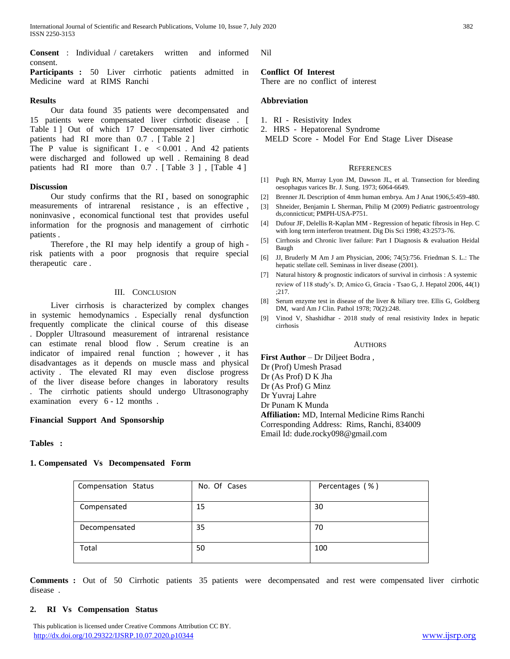International Journal of Scientific and Research Publications, Volume 10, Issue 7, July 2020 382 ISSN 2250-3153

**Consent** : Individual / caretakers written and informed consent.

Participants : 50 Liver cirrhotic patients admitted in Medicine ward at RIMS Ranchi

#### **Results**

 Our data found 35 patients were decompensated and 15 patients were compensated liver cirrhotic disease . [ Table 1 | Out of which 17 Decompensated liver cirrhotic patients had RI more than 0.7 . [ Table 2 ]

The P value is significant I .e  $< 0.001$  . And 42 patients were discharged and followed up well . Remaining 8 dead patients had RI more than 0.7 . [Table 3 ], [Table 4 ]

#### **Discussion**

 Our study confirms that the RI , based on sonographic measurements of intrarenal resistance , is an effective , noninvasive , economical functional test that provides useful information for the prognosis and management of cirrhotic patients .

 Therefore , the RI may help identify a group of high risk patients with a poor prognosis that require special therapeutic care .

## III. CONCLUSION

 Liver cirrhosis is characterized by complex changes in systemic hemodynamics . Especially renal dysfunction frequently complicate the clinical course of this disease . Doppler Ultrasound measurement of intrarenal resistance can estimate renal blood flow . Serum creatine is an indicator of impaired renal function ; however , it has disadvantages as it depends on muscle mass and physical activity . The elevated RI may even disclose progress of the liver disease before changes in laboratory results . The cirrhotic patients should undergo Ultrasonography examination every 6 - 12 months .

## **Financial Support And Sponsorship**

## **Tables :**

## **1. Compensated Vs Decompensated Form**

Compensation Status | No. Of Cases | Percentages (%) Compensated 15 30 Decompensated 35 70 Total 100

**Comments :** Out of 50 Cirrhotic patients 35 patients were decompensated and rest were compensated liver cirrhotic disease .

#### **2. RI Vs Compensation Status**

 This publication is licensed under Creative Commons Attribution CC BY. <http://dx.doi.org/10.29322/IJSRP.10.07.2020.p10344> [www.ijsrp.org](http://ijsrp.org/)

Nil

## **Conflict Of Interest**

There are no conflict of interest

#### **Abbreviation**

- 1. RI Resistivity Index
- 2. HRS Hepatorenal Syndrome
- MELD Score Model For End Stage Liver Disease

#### **REFERENCES**

- [1] Pugh RN, Murray Lyon JM, Dawson JL, et al. Transection for bleeding oesophagus varices Br. J. Sung. 1973; 6064-6649.
- [2] Brenner JL Description of 4mm human embrya. Am J Anat 1906,5:459-480.
- [3] Shneider, Benjamin L Sherman, Philip M (2009) Pediatric gastroentrology ds,connicticut; PMPH-USA-P751.
- [4] Dufour JF, Delellis R-Kaplan MM Regression of hepatic fibrosis in Hep. C with long term interferon treatment. Dig Dis Sci 1998; 43:2573-76.
- [5] Cirrhosis and Chronic liver failure: Part I Diagnosis & evaluation Heidal Baugh
- [6] JJ, Bruderly M Am J am Physician, 2006; 74(5):756. Friedman S. L.: The hepatic stellate cell. Seminass in liver disease (2001).
- [7] Natural history & prognostic indicators of survival in cirrhosis : A systemic review of 118 study's. D; Amico G, Gracia - Tsao G, J. Hepatol 2006, 44(1) ;217.
- [8] Serum enzyme test in disease of the liver & biliary tree. Ellis G, Goldberg DM, ward Am J Clin. Pathol 1978; 70(2):248.
- [9] Vinod V, Shashidhar 2018 study of renal resistivity Index in hepatic cirrhosis

#### AUTHORS

**First Author** – Dr Diljeet Bodra , Dr (Prof) Umesh Prasad Dr (As Prof) D K Jha Dr (As Prof) G Minz Dr Yuvraj Lahre Dr Punam K Munda **Affiliation:** MD, Internal Medicine Rims Ranchi Corresponding Address: Rims, Ranchi, 834009 Email Id: dude.rocky098@gmail.com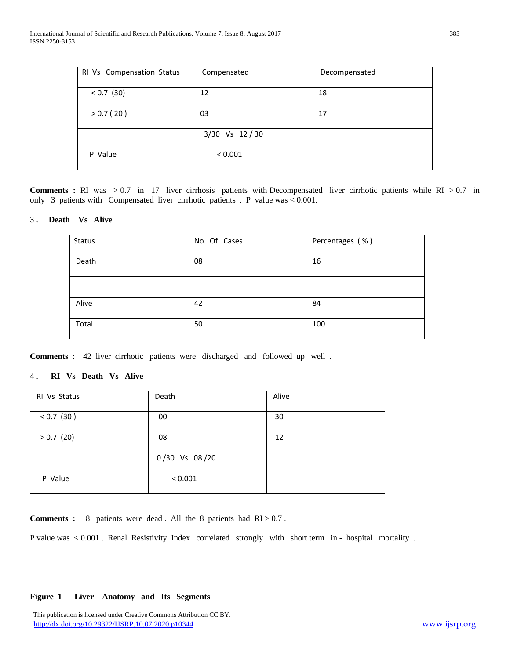| RI Vs Compensation Status | Compensated   | Decompensated |
|---------------------------|---------------|---------------|
| $< 0.7$ (30)              | 12            | 18            |
| > 0.7(20)                 | 03            | 17            |
|                           | 3/30 Vs 12/30 |               |
| P Value                   | < 0.001       |               |

**Comments :** RI was > 0.7 in 17 liver cirrhosis patients with Decompensated liver cirrhotic patients while RI > 0.7 in only 3 patients with Compensated liver cirrhotic patients . P value was < 0.001.

## 3 . **Death Vs Alive**

| Status | No. Of Cases | Percentages (%) |
|--------|--------------|-----------------|
| Death  | 08           | 16              |
|        |              |                 |
| Alive  | 42           | 84              |
| Total  | 50           | 100             |

**Comments** : 42 liver cirrhotic patients were discharged and followed up well .

# 4 . **RI Vs Death Vs Alive**

| RI Vs Status | Death         | Alive |
|--------------|---------------|-------|
| $< 0.7$ (30) | 00            | 30    |
| $> 0.7$ (20) | 08            | 12    |
|              | 0/30 Vs 08/20 |       |
| P Value      | < 0.001       |       |

**Comments :** 8 patients were dead . All the 8 patients had RI > 0.7.

P value was < 0.001 . Renal Resistivity Index correlated strongly with short term in - hospital mortality .

#### **Figure 1 Liver Anatomy and Its Segments**